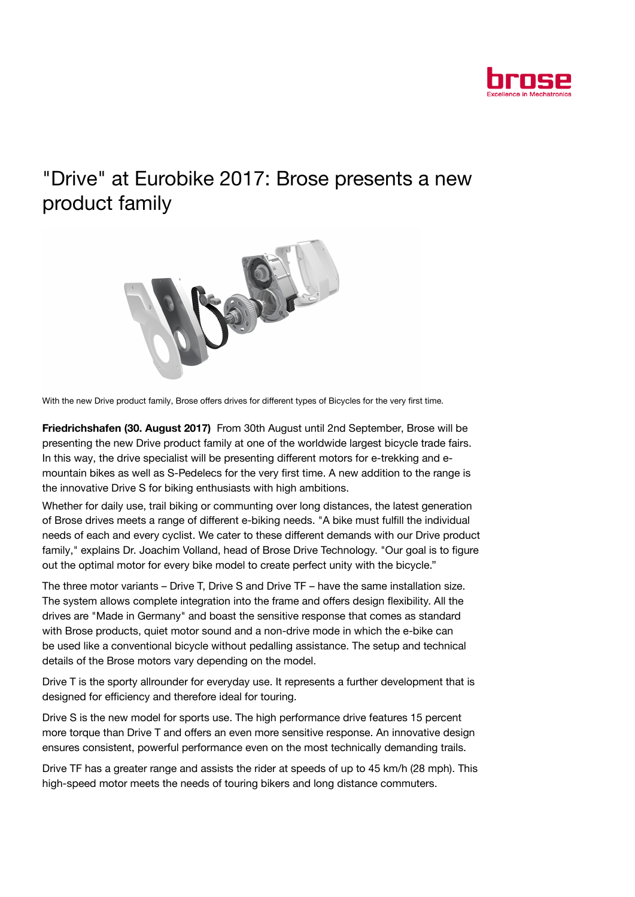

## "Drive" at Eurobike 2017: Brose presents a new product family



With the new Drive product family, Brose offers drives for different types of Bicycles for the very first time.

Friedrichshafen (30. August 2017) From 30th August until 2nd September, Brose will be presenting the new Drive product family at one of the worldwide largest bicycle trade fairs. In this way, the drive specialist will be presenting different motors for e-trekking and emountain bikes as well as S-Pedelecs for the very first time. A new addition to the range is the innovative Drive S for biking enthusiasts with high ambitions.

Whether for daily use, trail biking or communting over long distances, the latest generation of Brose drives meets a range of different e-biking needs. "A bike must fulfill the individual needs of each and every cyclist. We cater to these different demands with our Drive product family," explains Dr. Joachim Volland, head of Brose Drive Technology. "Our goal is to figure out the optimal motor for every bike model to create perfect unity with the bicycle."

The three motor variants – Drive T, Drive S and Drive TF – have the same installation size. The system allows complete integration into the frame and offers design flexibility. All the drives are "Made in Germany" and boast the sensitive response that comes as standard with Brose products, quiet motor sound and a non-drive mode in which the e-bike can be used like a conventional bicycle without pedalling assistance. The setup and technical details of the Brose motors vary depending on the model.

Drive T is the sporty allrounder for everyday use. It represents a further development that is designed for efficiency and therefore ideal for touring.

Drive S is the new model for sports use. The high performance drive features 15 percent more torque than Drive T and offers an even more sensitive response. An innovative design ensures consistent, powerful performance even on the most technically demanding trails.

Drive TF has a greater range and assists the rider at speeds of up to 45 km/h (28 mph). This high-speed motor meets the needs of touring bikers and long distance commuters.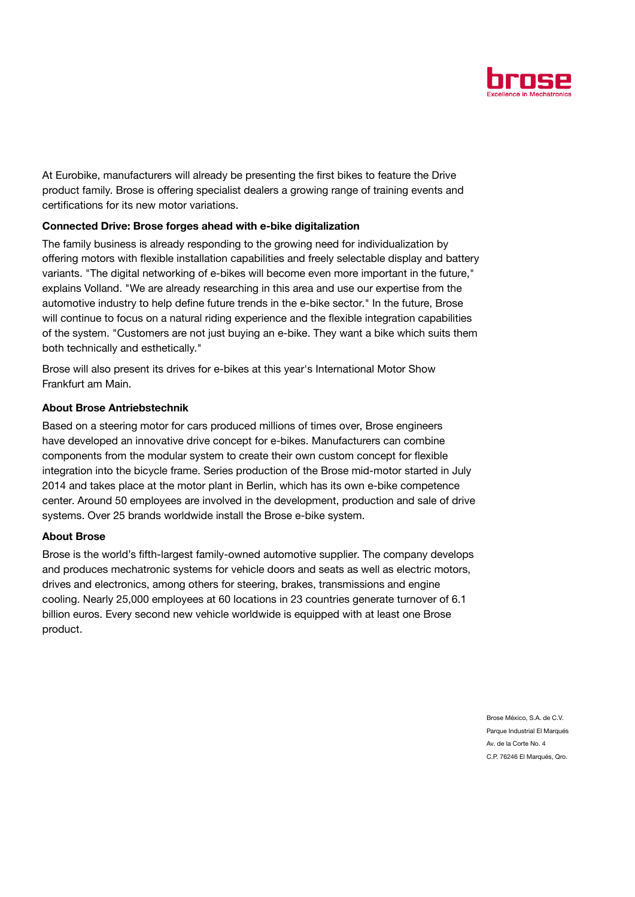

At Eurobike, manufacturers will already be presenting the first bikes to feature the Drive product family. Brose is offering specialist dealers a growing range of training events and certifications for its new motor variations.

## Connected Drive: Brose forges ahead with e-bike digitalization

The family business is already responding to the growing need for individualization by offering motors with flexible installation capabilities and freely selectable display and battery variants. "The digital networking of e-bikes will become even more important in the future," explains Volland. "We are already researching in this area and use our expertise from the automotive industry to help define future trends in the e-bike sector." In the future, Brose will continue to focus on a natural riding experience and the flexible integration capabilities of the system. "Customers are not just buying an e-bike. They want a bike which suits them both technically and esthetically."

Brose will also present its drives for e-bikes at this year's International Motor Show Frankfurt am Main.

## About Brose Antriebstechnik

Based on a steering motor for cars produced millions of times over, Brose engineers have developed an innovative drive concept for e-bikes. Manufacturers can combine components from the modular system to create their own custom concept for flexible integration into the bicycle frame. Series production of the Brose mid-motor started in July 2014 and takes place at the motor plant in Berlin, which has its own e-bike competence center. Around 50 employees are involved in the development, production and sale of drive systems. Over 25 brands worldwide install the Brose e-bike system.

## About Brose

Brose is the world's fifth-largest family-owned automotive supplier. The company develops and produces mechatronic systems for vehicle doors and seats as well as electric motors, drives and electronics, among others for steering, brakes, transmissions and engine cooling. Nearly 25,000 employees at 60 locations in 23 countries generate turnover of 6.1 billion euros. Every second new vehicle worldwide is equipped with at least one Brose product.

> Brose México, S.A. de C.V. Parque Industrial El Marqués Av. de la Corte No. 4 C.P. 76246 El Marqués, Qro.